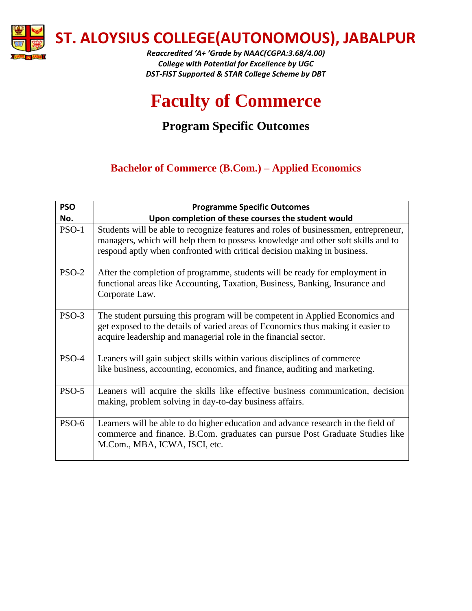

*Reaccredited 'A+ 'Grade by NAAC(CGPA:3.68/4.00) College with Potential for Excellence by UGC DST-FIST Supported & STAR College Scheme by DBT*

# **Faculty of Commerce**

# **Program Specific Outcomes**

## **Bachelor of Commerce (B.Com.) – Applied Economics**

| <b>PSO</b> | <b>Programme Specific Outcomes</b>                                                                                                                                                                                                                  |
|------------|-----------------------------------------------------------------------------------------------------------------------------------------------------------------------------------------------------------------------------------------------------|
| No.        | Upon completion of these courses the student would                                                                                                                                                                                                  |
| $PSO-1$    | Students will be able to recognize features and roles of businessmen, entrepreneur,<br>managers, which will help them to possess knowledge and other soft skills and to<br>respond aptly when confronted with critical decision making in business. |
| $PSO-2$    | After the completion of programme, students will be ready for employment in<br>functional areas like Accounting, Taxation, Business, Banking, Insurance and<br>Corporate Law.                                                                       |
| $PSO-3$    | The student pursuing this program will be competent in Applied Economics and<br>get exposed to the details of varied areas of Economics thus making it easier to<br>acquire leadership and managerial role in the financial sector.                 |
| PSO-4      | Leaners will gain subject skills within various disciplines of commerce<br>like business, accounting, economics, and finance, auditing and marketing.                                                                                               |
| PSO-5      | Leaners will acquire the skills like effective business communication, decision<br>making, problem solving in day-to-day business affairs.                                                                                                          |
| PSO-6      | Learners will be able to do higher education and advance research in the field of<br>commerce and finance. B.Com. graduates can pursue Post Graduate Studies like<br>M.Com., MBA, ICWA, ISCI, etc.                                                  |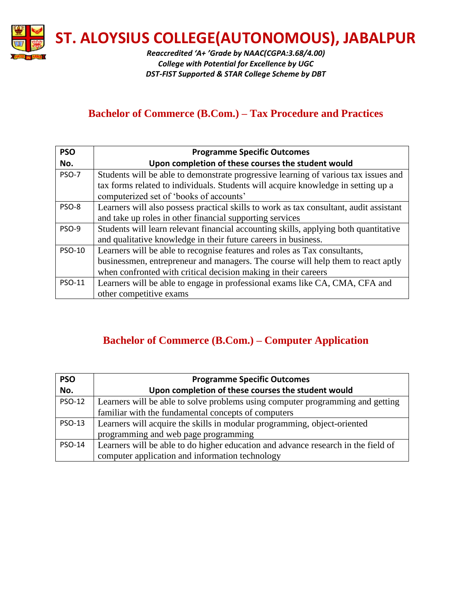

*Reaccredited 'A+ 'Grade by NAAC(CGPA:3.68/4.00) College with Potential for Excellence by UGC DST-FIST Supported & STAR College Scheme by DBT*

#### **Bachelor of Commerce (B.Com.) – Tax Procedure and Practices**

| <b>PSO</b>    | <b>Programme Specific Outcomes</b>                                                     |
|---------------|----------------------------------------------------------------------------------------|
| No.           | Upon completion of these courses the student would                                     |
| <b>PSO-7</b>  | Students will be able to demonstrate progressive learning of various tax issues and    |
|               | tax forms related to individuals. Students will acquire knowledge in setting up a      |
|               | computerized set of 'books of accounts'                                                |
| PSO-8         | Learners will also possess practical skills to work as tax consultant, audit assistant |
|               | and take up roles in other financial supporting services                               |
| <b>PSO-9</b>  | Students will learn relevant financial accounting skills, applying both quantitative   |
|               | and qualitative knowledge in their future careers in business.                         |
| <b>PSO-10</b> | Learners will be able to recognise features and roles as Tax consultants,              |
|               | businessmen, entrepreneur and managers. The course will help them to react aptly       |
|               | when confronted with critical decision making in their careers                         |
| PSO-11        | Learners will be able to engage in professional exams like CA, CMA, CFA and            |
|               | other competitive exams                                                                |

## **Bachelor of Commerce (B.Com.) – Computer Application**

| <b>PSO</b>    | <b>Programme Specific Outcomes</b>                                                |
|---------------|-----------------------------------------------------------------------------------|
| No.           | Upon completion of these courses the student would                                |
| <b>PSO-12</b> | Learners will be able to solve problems using computer programming and getting    |
|               | familiar with the fundamental concepts of computers                               |
| <b>PSO-13</b> | Learners will acquire the skills in modular programming, object-oriented          |
|               | programming and web page programming                                              |
| <b>PSO-14</b> | Learners will be able to do higher education and advance research in the field of |
|               | computer application and information technology                                   |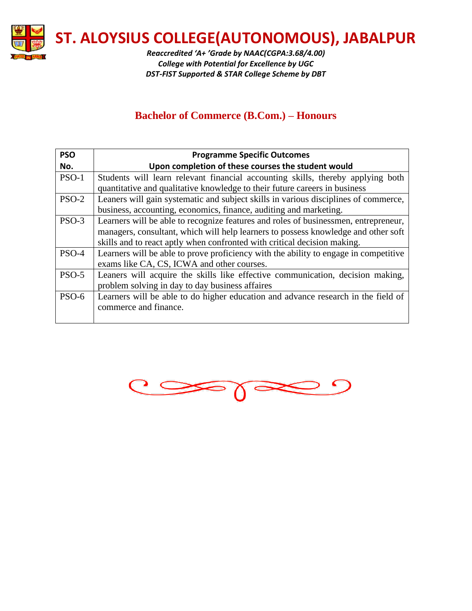

*Reaccredited 'A+ 'Grade by NAAC(CGPA:3.68/4.00) College with Potential for Excellence by UGC DST-FIST Supported & STAR College Scheme by DBT*

#### **Bachelor of Commerce (B.Com.) – Honours**

| <b>PSO</b> | <b>Programme Specific Outcomes</b>                                                   |
|------------|--------------------------------------------------------------------------------------|
| No.        | Upon completion of these courses the student would                                   |
| $PSO-1$    | Students will learn relevant financial accounting skills, thereby applying both      |
|            | quantitative and qualitative knowledge to their future careers in business           |
| $PSO-2$    | Leaners will gain systematic and subject skills in various disciplines of commerce,  |
|            | business, accounting, economics, finance, auditing and marketing.                    |
| $PSO-3$    | Learners will be able to recognize features and roles of businessmen, entrepreneur,  |
|            | managers, consultant, which will help learners to possess knowledge and other soft   |
|            | skills and to react aptly when confronted with critical decision making.             |
| PSO-4      | Learners will be able to prove proficiency with the ability to engage in competitive |
|            | exams like CA, CS, ICWA and other courses.                                           |
| $PSO-5$    | Leaners will acquire the skills like effective communication, decision making,       |
|            | problem solving in day to day business affaires                                      |
| PSO-6      | Learners will be able to do higher education and advance research in the field of    |
|            | commerce and finance.                                                                |
|            |                                                                                      |